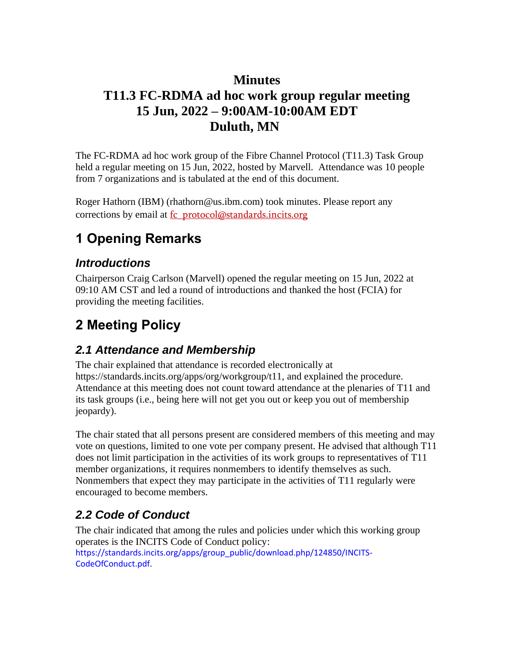### **Minutes**

## **T11.3 FC-RDMA ad hoc work group regular meeting 15 Jun, 2022 – 9:00AM-10:00AM EDT Duluth, MN**

The FC-RDMA ad hoc work group of the Fibre Channel Protocol (T11.3) Task Group held a regular meeting on 15 Jun, 2022, hosted by Marvell. Attendance was 10 people from 7 organizations and is tabulated at the end of this document.

Roger Hathorn (IBM) (rhathorn@us.ibm.com) took minutes. Please report any corrections by email at fc\_protocol@standards.incits.org

# **1 Opening Remarks**

### *Introductions*

Chairperson Craig Carlson (Marvell) opened the regular meeting on 15 Jun, 2022 at 09:10 AM CST and led a round of introductions and thanked the host (FCIA) for providing the meeting facilities.

## **2 Meeting Policy**

### *2.1 Attendance and Membership*

The chair explained that attendance is recorded electronically at https://standards.incits.org/apps/org/workgroup/t11, and explained the procedure. Attendance at this meeting does not count toward attendance at the plenaries of T11 and its task groups (i.e., being here will not get you out or keep you out of membership jeopardy).

The chair stated that all persons present are considered members of this meeting and may vote on questions, limited to one vote per company present. He advised that although T11 does not limit participation in the activities of its work groups to representatives of T11 member organizations, it requires nonmembers to identify themselves as such. Nonmembers that expect they may participate in the activities of T11 regularly were encouraged to become members.

### *2.2 Code of Conduct*

The chair indicated that among the rules and policies under which this working group operates is the INCITS Code of Conduct policy:

https://standards.incits.org/apps/group\_public/download.php/124850/INCITS-CodeOfConduct.pdf.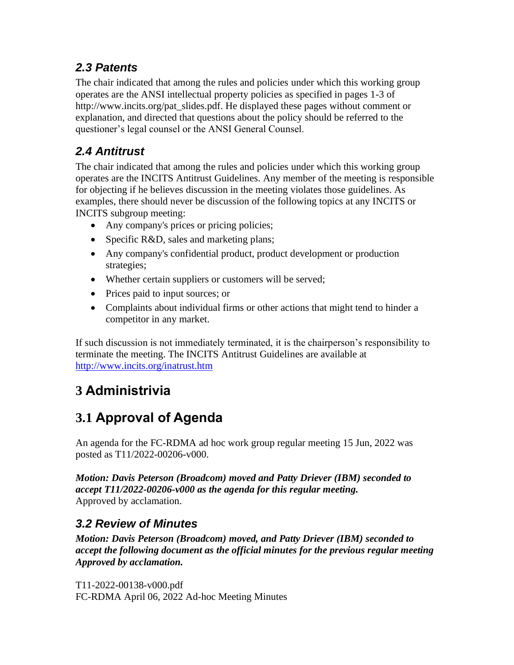### *2.3 Patents*

The chair indicated that among the rules and policies under which this working group operates are the ANSI intellectual property policies as specified in pages 1-3 of http://www.incits.org/pat\_slides.pdf. He displayed these pages without comment or explanation, and directed that questions about the policy should be referred to the questioner's legal counsel or the ANSI General Counsel.

## *2.4 Antitrust*

The chair indicated that among the rules and policies under which this working group operates are the INCITS Antitrust Guidelines. Any member of the meeting is responsible for objecting if he believes discussion in the meeting violates those guidelines. As examples, there should never be discussion of the following topics at any INCITS or INCITS subgroup meeting:

- Any company's prices or pricing policies;
- Specific R&D, sales and marketing plans;
- Any company's confidential product, product development or production strategies;
- Whether certain suppliers or customers will be served;
- Prices paid to input sources; or
- Complaints about individual firms or other actions that might tend to hinder a competitor in any market.

If such discussion is not immediately terminated, it is the chairperson's responsibility to terminate the meeting. The INCITS Antitrust Guidelines are available at <http://www.incits.org/inatrust.htm>

# **3 Administrivia**

## **3.1 Approval of Agenda**

An agenda for the FC-RDMA ad hoc work group regular meeting 15 Jun, 2022 was posted as T11/2022-00206-v000.

*Motion: Davis Peterson (Broadcom) moved and Patty Driever (IBM) seconded to accept T11/2022-00206-v000 as the agenda for this regular meeting.*  Approved by acclamation.

### *3.2 Review of Minutes*

*Motion: Davis Peterson (Broadcom) moved, and Patty Driever (IBM) seconded to accept the following document as the official minutes for the previous regular meeting Approved by acclamation.* 

T11-2022-00138-v000.pdf FC-RDMA April 06, 2022 Ad-hoc Meeting Minutes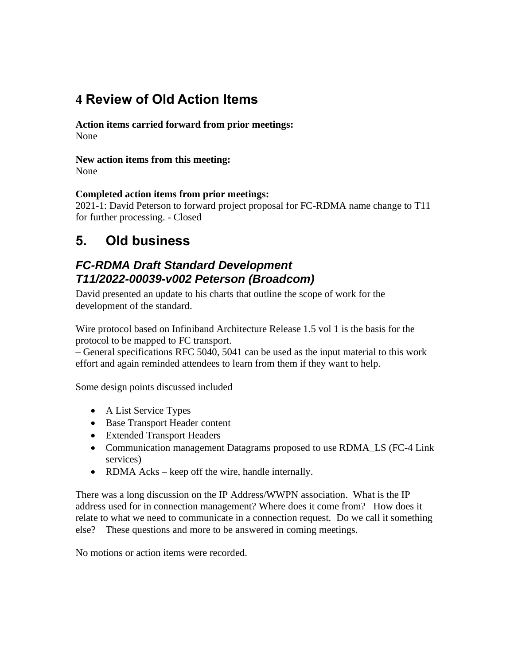## **4 Review of Old Action Items**

**Action items carried forward from prior meetings:**  None

**New action items from this meeting:** None

#### **Completed action items from prior meetings:**

2021-1: David Peterson to forward project proposal for FC-RDMA name change to T11 for further processing. - Closed

## **5. Old business**

### *FC-RDMA Draft Standard Development T11/2022-00039-v002 Peterson (Broadcom)*

David presented an update to his charts that outline the scope of work for the development of the standard.

Wire protocol based on Infiniband Architecture Release 1.5 vol 1 is the basis for the protocol to be mapped to FC transport.

– General specifications RFC 5040, 5041 can be used as the input material to this work effort and again reminded attendees to learn from them if they want to help.

Some design points discussed included

- A List Service Types
- Base Transport Header content
- Extended Transport Headers
- Communication management Datagrams proposed to use RDMA\_LS (FC-4 Link services)
- RDMA Acks keep off the wire, handle internally.

There was a long discussion on the IP Address/WWPN association. What is the IP address used for in connection management? Where does it come from? How does it relate to what we need to communicate in a connection request. Do we call it something else? These questions and more to be answered in coming meetings.

No motions or action items were recorded.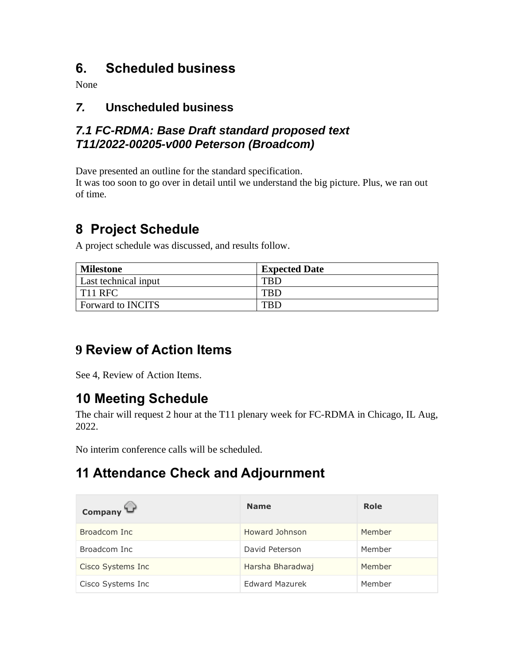## **6. Scheduled business**

None

### *7.* **Unscheduled business**

### *7.1 FC-RDMA: Base Draft standard proposed text T11/2022-00205-v000 Peterson (Broadcom)*

Dave presented an outline for the standard specification.

It was too soon to go over in detail until we understand the big picture. Plus, we ran out of time.

## **8 Project Schedule**

A project schedule was discussed, and results follow.

| <b>Milestone</b>         | <b>Expected Date</b> |
|--------------------------|----------------------|
| Last technical input     | TBD                  |
| T <sub>11</sub> RFC      | <b>TBD</b>           |
| <b>Forward to INCITS</b> | TRD                  |

## **9 Review of Action Items**

See 4, Review of Action Items.

## **10 Meeting Schedule**

The chair will request 2 hour at the T11 plenary week for FC-RDMA in Chicago, IL Aug, 2022.

No interim conference calls will be scheduled.

## **11 Attendance Check and Adjournment**

| Company           | <b>Name</b>           | Role   |
|-------------------|-----------------------|--------|
| Broadcom Inc      | Howard Johnson        | Member |
| Broadcom Inc      | David Peterson        | Member |
| Cisco Systems Inc | Harsha Bharadwaj      | Member |
| Cisco Systems Inc | <b>Edward Mazurek</b> | Member |